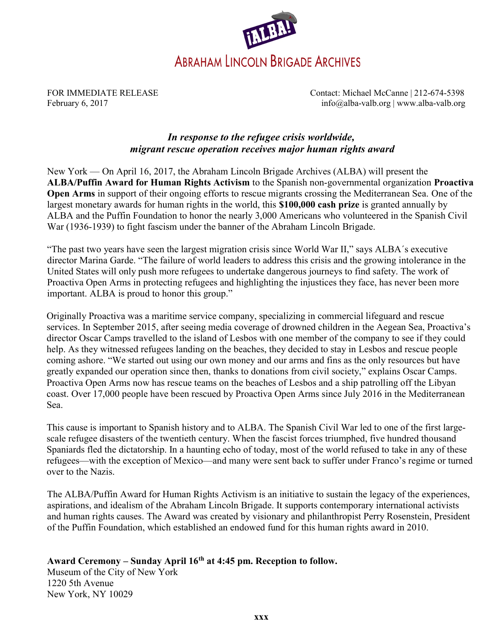

FOR IMMEDIATE RELEASE Contact: Michael McCanne | 212-674-5398 February 6, 2017 **info@alba-valb.org** | www.alba-valb.org | www.alba-valb.org | www.alba-valb.org | www.alba-valb.org | www.alba-valb.org | www.alba-valb.org | www.alba-valb.org | www.alba-valb.org | www.alba-valb.org | ww

## In response to the refugee crisis worldwide, migrant rescue operation receives major human rights award

New York — On April 16, 2017, the Abraham Lincoln Brigade Archives (ALBA) will present the ALBA/Puffin Award for Human Rights Activism to the Spanish non-governmental organization Proactiva Open Arms in support of their ongoing efforts to rescue migrants crossing the Mediterranean Sea. One of the largest monetary awards for human rights in the world, this \$100,000 cash prize is granted annually by ALBA and the Puffin Foundation to honor the nearly 3,000 Americans who volunteered in the Spanish Civil War (1936-1939) to fight fascism under the banner of the Abraham Lincoln Brigade.

"The past two years have seen the largest migration crisis since World War II," says ALBA´s executive director Marina Garde. "The failure of world leaders to address this crisis and the growing intolerance in the United States will only push more refugees to undertake dangerous journeys to find safety. The work of Proactiva Open Arms in protecting refugees and highlighting the injustices they face, has never been more important. ALBA is proud to honor this group."

Originally Proactiva was a maritime service company, specializing in commercial lifeguard and rescue services. In September 2015, after seeing media coverage of drowned children in the Aegean Sea, Proactiva's director Oscar Camps travelled to the island of Lesbos with one member of the company to see if they could help. As they witnessed refugees landing on the beaches, they decided to stay in Lesbos and rescue people coming ashore. "We started out using our own money and our arms and fins as the only resources but have greatly expanded our operation since then, thanks to donations from civil society," explains Oscar Camps. Proactiva Open Arms now has rescue teams on the beaches of Lesbos and a ship patrolling off the Libyan coast. Over 17,000 people have been rescued by Proactiva Open Arms since July 2016 in the Mediterranean Sea.

This cause is important to Spanish history and to ALBA. The Spanish Civil War led to one of the first largescale refugee disasters of the twentieth century. When the fascist forces triumphed, five hundred thousand Spaniards fled the dictatorship. In a haunting echo of today, most of the world refused to take in any of these refugees—with the exception of Mexico—and many were sent back to suffer under Franco's regime or turned over to the Nazis.

The ALBA/Puffin Award for Human Rights Activism is an initiative to sustain the legacy of the experiences, aspirations, and idealism of the Abraham Lincoln Brigade. It supports contemporary international activists and human rights causes. The Award was created by visionary and philanthropist Perry Rosenstein, President of the Puffin Foundation, which established an endowed fund for this human rights award in 2010.

# Award Ceremony – Sunday April 16<sup>th</sup> at 4:45 pm. Reception to follow.

Museum of the City of New York 1220 5th Avenue New York, NY 10029